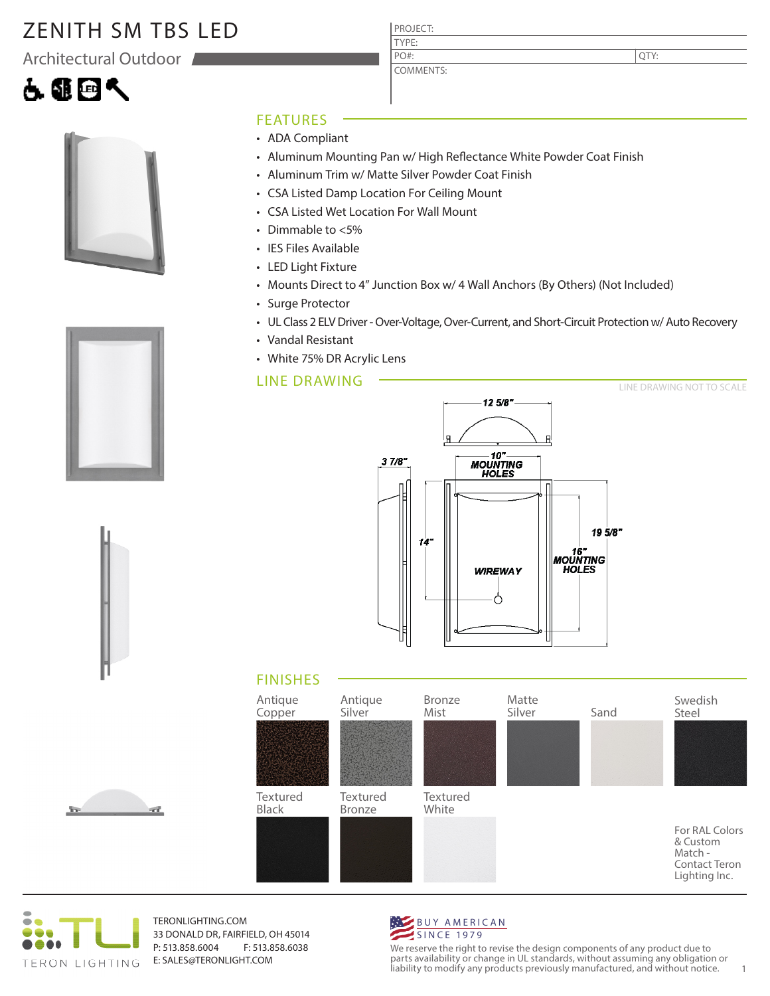# ZENITH SM TBS LED

Architectural Outdoor







#### FEATURES

- ADA Compliant
- Aluminum Mounting Pan w/ High Reflectance White Powder Coat Finish
- Aluminum Trim w/ Matte Silver Powder Coat Finish

PROJECT: TYPE:

PO#:

COMMENTS:

- CSA Listed Damp Location For Ceiling Mount
- CSA Listed Wet Location For Wall Mount
- Dimmable to <5%
- IES Files Available
- LED Light Fixture
- Mounts Direct to 4" Junction Box w/ 4 Wall Anchors (By Others) (Not Included)
- Surge Protector
- UL Class 2 ELV Driver Over-Voltage, Over-Current, and Short-Circuit Protection w/ Auto Recovery
- Vandal Resistant
- White 75% DR Acrylic Lens

#### LINE DRAWING



### FINISHES





TERONLIGHTING.COM 33 DONALD DR, FAIRFIELD, OH 45014 P: 513.858.6004 F: 513.858.6038 E: SALES@TERONLIGHT.COM



We reserve the right to revise the design components of any product due to parts availability or change in UL standards, without assuming any obligation or liability to modify any products previously manufactured, and without notice. 1





QTY: